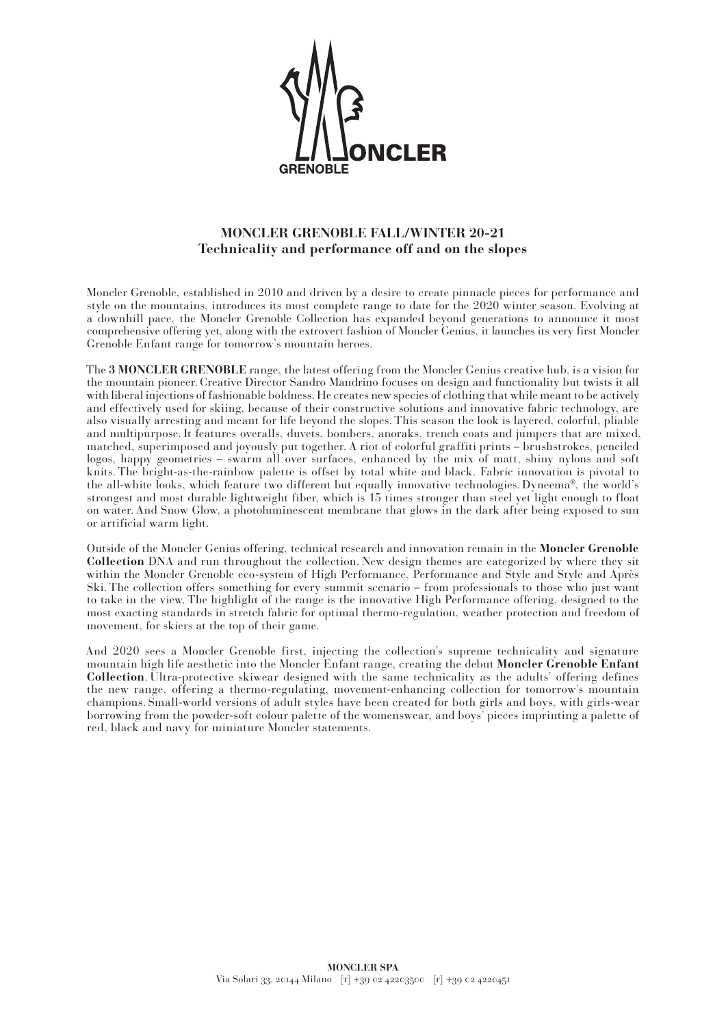

## **MONCLER GRENOBLE FALL/WINTER 20-21 Technicality and performance off and on the slopes**

Moncler Grenoble, established in 2010 and driven by a desire to create pinnacle pieces for performance and style on the mountains, introduces its most complete range to date for the 2020 winter season. Evolving at a downhill pace, the Moncler Grenoble Collection has expanded beyond generations to announce it most comprehensive offering yet, along with the extrovert fashion of Moncler Genius, it launches its very first Moncler Grenoble Enfant range for tomorrow's mountain heroes.

The **3 MONCLER GRENOBLE** range, the latest offering from the Moncler Genius creative hub, is a vision for the mountain pioneer. Creative Director Sandro Mandrino focuses on design and functionality but twists it all with liberal injections of fashionable boldness. He creates new species of clothing that while meant to be actively and effectively used for skiing, because of their constructive solutions and innovative fabric technology, are also visually arresting and meant for life beyond the slopes. This season the look is layered, colorful, pliable and multipurpose. It features overalls, duvets, bombers, anoraks, trench coats and jumpers that are mixed, matched, superimposed and joyously put together. A riot of colorful graffiti prints – brushstrokes, penciled logos, happy geometries – swarm all over surfaces, enhanced by the mix of matt, shiny nylons and soft knits. The bright-as-the-rainbow palette is offset by total white and black. Fabric innovation is pivotal to the all-white looks, which feature two different but equally innovative technologies. Dyneema®, the world's strongest and most durable lightweight fiber, which is 15 times stronger than steel yet light enough to float on water. And Snow Glow, a photoluminescent membrane that glows in the dark after being exposed to sun or artificial warm light.

Outside of the Moncler Genius offering, technical research and innovation remain in the **Moncler Grenoble Collection** DNA and run throughout the collection. New design themes are categorized by where they sit within the Moncler Grenoble eco-system of High Performance, Performance and Style and Style and Après Ski. The collection offers something for every summit scenario – from professionals to those who just want to take in the view. The highlight of the range is the innovative High Performance offering, designed to the most exacting standards in stretch fabric for optimal thermo-regulation, weather protection and freedom of movement, for skiers at the top of their game.

And 2020 sees a Moncler Grenoble first, injecting the collection's supreme technicality and signature mountain high life aesthetic into the Moncler Enfant range, creating the debut **Moncler Grenoble Enfant Collection**. Ultra-protective skiwear designed with the same technicality as the adults' offering defines the new range, offering a thermo-regulating, movement-enhancing collection for tomorrow's mountain champions. Small-world versions of adult styles have been created for both girls and boys, with girls-wear borrowing from the powder-soft colour palette of the womenswear, and boys' pieces imprinting a palette of red, black and navy for miniature Moncler statements.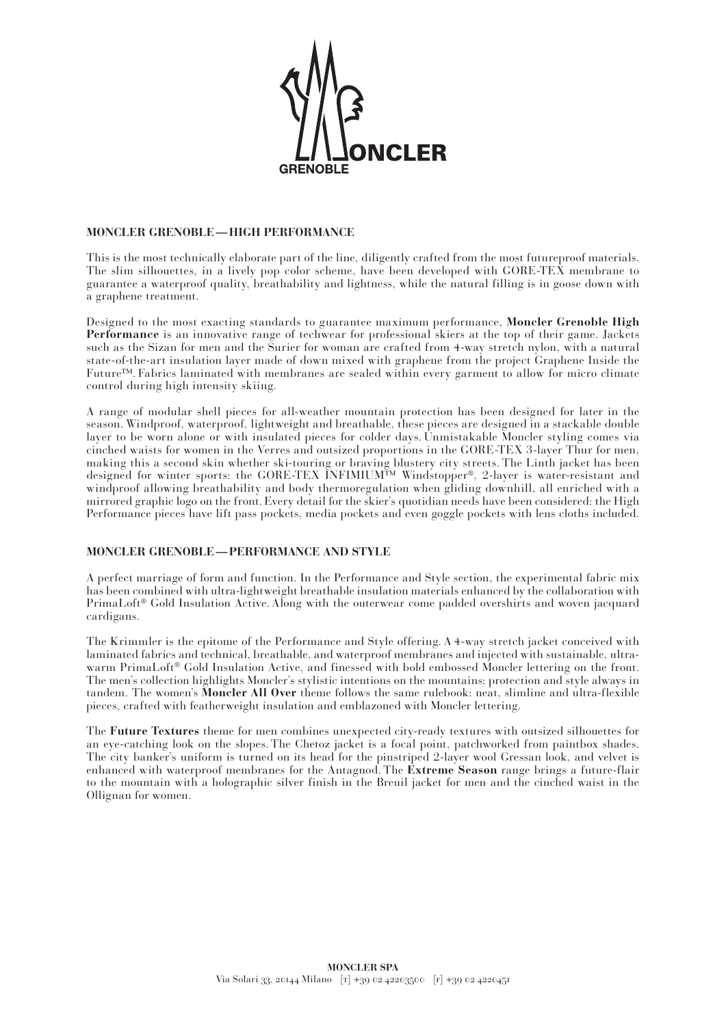

## **MONCLER GRENOBLE—HIGH PERFORMANCE**

This is the most technically elaborate part of the line, diligently crafted from the most futureproof materials. The slim silhouettes, in a lively pop color scheme, have been developed with GORE-TEX membrane to guarantee a waterproof quality, breathability and lightness, while the natural filling is in goose down with a graphene treatment.

Designed to the most exacting standards to guarantee maximum performance, **Moncler Grenoble High Performance** is an innovative range of techwear for professional skiers at the top of their game. Jackets such as the Sizan for men and the Surier for woman are crafted from 4-way stretch nylon, with a natural state-of-the-art insulation layer made of down mixed with graphene from the project Graphene Inside the Future™. Fabrics laminated with membranes are sealed within every garment to allow for micro climate control during high intensity skiing.

A range of modular shell pieces for all-weather mountain protection has been designed for later in the season. Windproof, waterproof, lightweight and breathable, these pieces are designed in a stackable double layer to be worn alone or with insulated pieces for colder days. Unmistakable Moncler styling comes via cinched waists for women in the Verres and outsized proportions in the GORE-TEX 3-layer Thur for men, making this a second skin whether ski-touring or braving blustery city streets. The Linth jacket has been designed for winter sports: the GORE-TEX INFIMIUM™ Windstopper®, 2-layer is water-resistant and windproof allowing breathability and body thermoregulation when gliding downhill, all enriched with a mirrored graphic logo on the front. Every detail for the skier's quotidian needs have been considered: the High Performance pieces have lift pass pockets, media pockets and even goggle pockets with lens cloths included.

## **MONCLER GRENOBLE—PERFORMANCE AND STYLE**

A perfect marriage of form and function. In the Performance and Style section, the experimental fabric mix has been combined with ultra-lightweight breathable insulation materials enhanced by the collaboration with PrimaLoft® Gold Insulation Active. Along with the outerwear come padded overshirts and woven jacquard cardigans.

The Krimmler is the epitome of the Performance and Style offering. A 4-way stretch jacket conceived with laminated fabrics and technical, breathable, and waterproof membranes and injected with sustainable, ultrawarm PrimaLoft® Gold Insulation Active, and finessed with bold embossed Moncler lettering on the front. The men's collection highlights Moncler's stylistic intentions on the mountains: protection and style always in tandem. The women's **Moncler All Over** theme follows the same rulebook: neat, slimline and ultra-flexible pieces, crafted with featherweight insulation and emblazoned with Moncler lettering.

The **Future Textures** theme for men combines unexpected city-ready textures with outsized silhouettes for an eye-catching look on the slopes. The Chetoz jacket is a focal point, patchworked from paintbox shades. The city banker's uniform is turned on its head for the pinstriped 2-layer wool Gressan look, and velvet is enhanced with waterproof membranes for the Antagnod. The **Extreme Season** range brings a future-flair to the mountain with a holographic silver finish in the Breuil jacket for men and the cinched waist in the Ollignan for women.